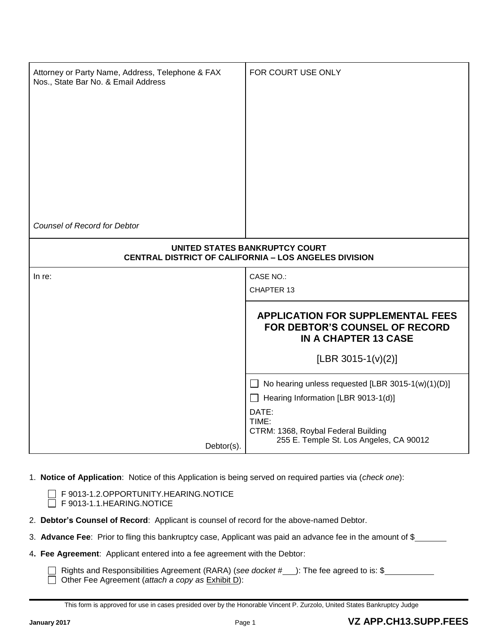| Attorney or Party Name, Address, Telephone & FAX<br>Nos., State Bar No. & Email Address        | FOR COURT USE ONLY                                                                                                                                                                                           |  |
|------------------------------------------------------------------------------------------------|--------------------------------------------------------------------------------------------------------------------------------------------------------------------------------------------------------------|--|
| Counsel of Record for Debtor                                                                   |                                                                                                                                                                                                              |  |
| UNITED STATES BANKRUPTCY COURT<br><b>CENTRAL DISTRICT OF CALIFORNIA - LOS ANGELES DIVISION</b> |                                                                                                                                                                                                              |  |
| In re:                                                                                         | <b>CASE NO.:</b><br>CHAPTER 13                                                                                                                                                                               |  |
|                                                                                                | <b>APPLICATION FOR SUPPLEMENTAL FEES</b><br>FOR DEBTOR'S COUNSEL OF RECORD<br><b>IN A CHAPTER 13 CASE</b><br>[LBR 3015-1(v)(2)]                                                                              |  |
| Debtor(s).                                                                                     | No hearing unless requested [LBR 3015-1(w)(1)(D)]<br>$\mathbf{L}$<br>Hearing Information [LBR 9013-1(d)]<br>DATE:<br>TIME:<br>CTRM: 1368, Roybal Federal Building<br>255 E. Temple St. Los Angeles, CA 90012 |  |

1. **Notice of Application**: Notice of this Application is being served on required parties via (*check one*):

| $\Box$ F 9013-1.2. OPPORTUNITY. HEARING. NOTICE |  |
|-------------------------------------------------|--|
| $\Box$ F 9013-1.1. HEARING. NOTICE              |  |

- 2. **Debtor's Counsel of Record**: Applicant is counsel of record for the above-named Debtor.
- 3. **Advance Fee**: Prior to fling this bankruptcy case, Applicant was paid an advance fee in the amount of \$
- 4**. Fee Agreement**: Applicant entered into a fee agreement with the Debtor:

 Rights and Responsibilities Agreement (RARA) (*see docket #* ): The fee agreed to is: \$ Other Fee Agreement (*attach a copy as* Exhibit D):

This form is approved for use in cases presided over by the Honorable Vincent P. Zurzolo, United States Bankruptcy Judge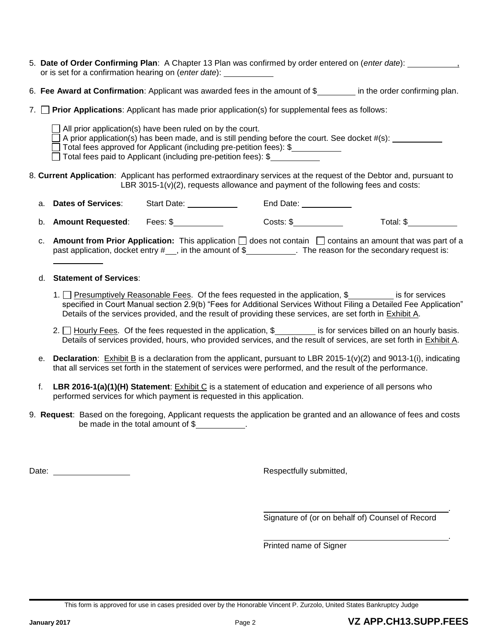or is set for a confirmation hearing on (*enter date*): 6. Fee Award at Confirmation: Applicant was awarded fees in the amount of \$\_\_\_\_\_\_\_\_ in the order confirming plan. 7. **Prior Applications**: Applicant has made prior application(s) for supplemental fees as follows: All prior application(s) have been ruled on by the court.  $\Box$  A prior application(s) has been made, and is still pending before the court. See docket #(s):  $\Box$ Total fees approved for Applicant (including pre-petition fees): \$ Total fees paid to Applicant (including pre-petition fees): \$ 8. **Current Application**: Applicant has performed extraordinary services at the request of the Debtor and, pursuant to LBR 3015-1 $(v)(2)$ , requests allowance and payment of the following fees and costs: a. **Dates of Services:** Start Date: \_\_\_\_\_\_\_\_\_\_\_\_ End Date: \_\_\_\_\_\_\_\_\_ b. **Amount Requested**: Fees: \$ Costs: \$ Total: \$ c. **Amount from Prior Application:** This application  $\Box$  does not contain  $\Box$  contains an amount that was part of a past application, docket entry #\_\_, in the amount of \$\_\_\_\_\_\_\_\_\_\_\_. The reason for the secondary request is: 

5. **Date of Order Confirming Plan**: A Chapter 13 Plan was confirmed by order entered on (*enter date*): ,

- d. **Statement of Services**:
	- 1.  $\Box$  Presumptively Reasonable Fees. Of the fees requested in the application, \$ specified in Court Manual section 2.9(b) "Fees for Additional Services Without Filing a Detailed Fee Application" Details of the services provided, and the result of providing these services, are set forth in Exhibit A.
	- 2.  $\Box$  Hourly Fees. Of the fees requested in the application, \$<br>is for services billed on an hourly basis. Details of services provided, hours, who provided services, and the result of services, are set forth in Exhibit A.
- e. **Declaration**: Exhibit B is a declaration from the applicant, pursuant to LBR 2015-1(v)(2) and 9013-1(i), indicating that all services set forth in the statement of services were performed, and the result of the performance.
- f. **LBR 2016-1(a)(1)(H) Statement**: Exhibit C is a statement of education and experience of all persons who performed services for which payment is requested in this application.
- 9. **Request**: Based on the foregoing, Applicant requests the application be granted and an allowance of fees and costs be made in the total amount of \$

Date: **Respectfully submitted,** Respectfully submitted,

Signature of (or on behalf of) Counsel of Record

*.*

*.*

Printed name of Signer